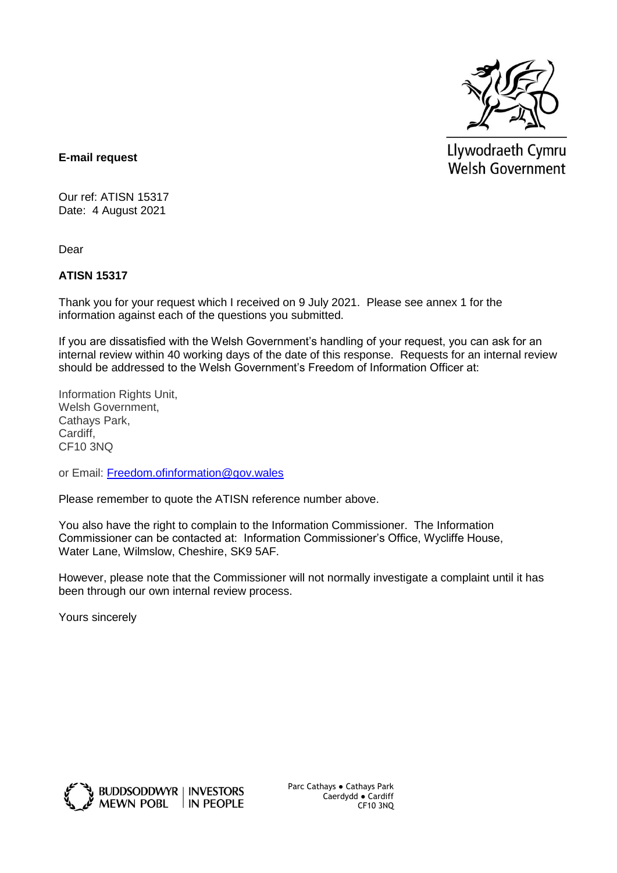

Llywodraeth Cymru Welsh Government

## **E-mail request**

Our ref: ATISN 15317 Date: 4 August 2021

Dear

## **ATISN 15317**

Thank you for your request which I received on 9 July 2021. Please see annex 1 for the information against each of the questions you submitted.

If you are dissatisfied with the Welsh Government's handling of your request, you can ask for an internal review within 40 working days of the date of this response. Requests for an internal review should be addressed to the Welsh Government's Freedom of Information Officer at:

Information Rights Unit, Welsh Government, Cathays Park, Cardiff, CF10 3NQ

or Email: [Freedom.ofinformation@gov.wales](mailto:Freedom.ofinformation@gov.wales)

Please remember to quote the ATISN reference number above.

You also have the right to complain to the Information Commissioner. The Information Commissioner can be contacted at: Information Commissioner's Office, Wycliffe House, Water Lane, Wilmslow, Cheshire, SK9 5AF.

However, please note that the Commissioner will not normally investigate a complaint until it has been through our own internal review process.

Yours sincerely



Parc Cathays ● Cathays Park Caerdydd ● Cardiff CF10 3NQ